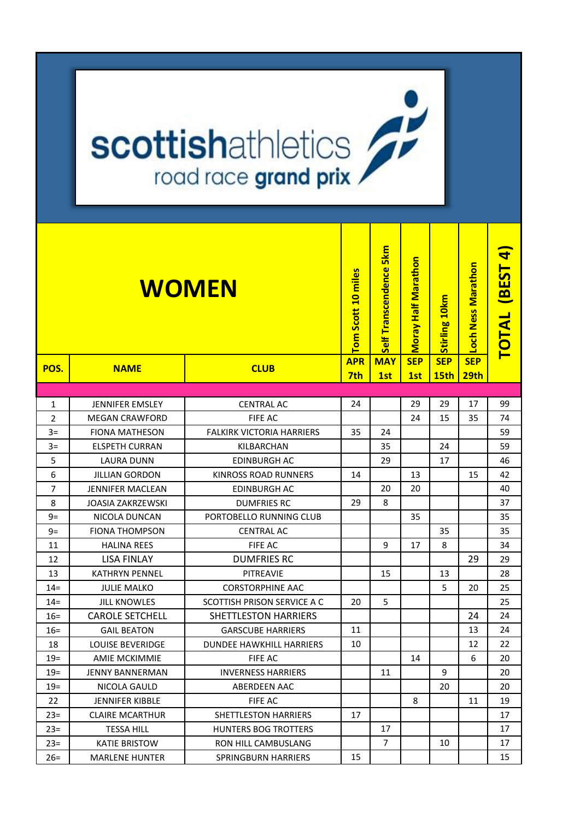## **scottishathletics**

| <b>WOMEN</b><br><b>CLUB</b><br>POS.<br><b>NAME</b><br>$\mathbf{1}$<br><b>JENNIFER EMSLEY</b><br><b>CENTRAL AC</b><br>$\overline{2}$<br><b>MEGAN CRAWFORD</b><br><b>FIFE AC</b><br><b>FALKIRK VICTORIA HARRIERS</b><br>$3=$<br><b>FIONA MATHESON</b><br>$3=$<br><b>ELSPETH CURRAN</b><br>KILBARCHAN |                         |                                 | Tom Scott 10 miles | Self Transcendence 5km | <b>Moray Half Marathon</b> | Stirling 10km             | Loch Ness Marathon             | <b>TOTAL BEST 4</b> |
|----------------------------------------------------------------------------------------------------------------------------------------------------------------------------------------------------------------------------------------------------------------------------------------------------|-------------------------|---------------------------------|--------------------|------------------------|----------------------------|---------------------------|--------------------------------|---------------------|
|                                                                                                                                                                                                                                                                                                    |                         |                                 | <b>APR</b><br>7th  | <b>MAY</b><br>1st      | <b>SEP</b><br>1st          | <b>SEP</b><br><b>15th</b> | <b>SEP</b><br>29 <sub>th</sub> |                     |
|                                                                                                                                                                                                                                                                                                    |                         |                                 |                    |                        |                            |                           |                                |                     |
|                                                                                                                                                                                                                                                                                                    |                         |                                 | 24                 |                        | 29                         | 29                        | 17                             | 99                  |
|                                                                                                                                                                                                                                                                                                    |                         |                                 |                    |                        | 24                         | 15                        | 35                             | 74                  |
|                                                                                                                                                                                                                                                                                                    |                         |                                 | 35                 | 24                     |                            |                           |                                | 59                  |
|                                                                                                                                                                                                                                                                                                    |                         |                                 |                    | 35                     |                            | 24                        |                                | 59                  |
| 5                                                                                                                                                                                                                                                                                                  | LAURA DUNN              | EDINBURGH AC                    |                    | 29                     |                            | 17                        |                                | 46                  |
| 6                                                                                                                                                                                                                                                                                                  | <b>JILLIAN GORDON</b>   | <b>KINROSS ROAD RUNNERS</b>     | 14                 |                        | 13                         |                           | 15                             | 42                  |
| $\overline{7}$                                                                                                                                                                                                                                                                                     | <b>JENNIFER MACLEAN</b> | <b>EDINBURGH AC</b>             |                    | 20                     | 20                         |                           |                                | 40                  |
| 8                                                                                                                                                                                                                                                                                                  | JOASIA ZAKRZEWSKI       | <b>DUMFRIES RC</b>              | 29                 | 8                      |                            |                           |                                | 37                  |
| $9=$                                                                                                                                                                                                                                                                                               | NICOLA DUNCAN           | PORTOBELLO RUNNING CLUB         |                    |                        | 35                         |                           |                                | 35                  |
| $9=$                                                                                                                                                                                                                                                                                               | <b>FIONA THOMPSON</b>   | <b>CENTRAL AC</b>               |                    |                        |                            | 35                        |                                | 35                  |
| 11                                                                                                                                                                                                                                                                                                 | <b>HALINA REES</b>      | <b>FIFE AC</b>                  |                    | 9                      | 17                         | 8                         |                                | 34                  |
| 12                                                                                                                                                                                                                                                                                                 | <b>LISA FINLAY</b>      | <b>DUMFRIES RC</b>              |                    |                        |                            |                           | 29                             | 29                  |
| 13                                                                                                                                                                                                                                                                                                 | <b>KATHRYN PENNEL</b>   | <b>PITREAVIE</b>                |                    | 15                     |                            | 13                        |                                | 28                  |
| $14=$                                                                                                                                                                                                                                                                                              | <b>JULIE MALKO</b>      | <b>CORSTORPHINE AAC</b>         |                    |                        |                            | 5                         | 20                             | 25                  |
| $14 =$                                                                                                                                                                                                                                                                                             | <b>JILL KNOWLES</b>     | SCOTTISH PRISON SERVICE A C     | 20                 | 5                      |                            |                           |                                | 25                  |
| $16=$                                                                                                                                                                                                                                                                                              | <b>CAROLE SETCHELL</b>  | <b>SHETTLESTON HARRIERS</b>     |                    |                        |                            |                           | 24                             | 24                  |
| $16=$                                                                                                                                                                                                                                                                                              | <b>GAIL BEATON</b>      | <b>GARSCUBE HARRIERS</b>        | 11                 |                        |                            |                           | 13                             | 24                  |
| 18                                                                                                                                                                                                                                                                                                 | <b>LOUISE BEVERIDGE</b> | <b>DUNDEE HAWKHILL HARRIERS</b> | 10                 |                        |                            |                           | 12                             | 22                  |
| $19=$                                                                                                                                                                                                                                                                                              | <b>AMIE MCKIMMIE</b>    | <b>FIFE AC</b>                  |                    |                        | 14                         |                           | 6                              | 20                  |
| $19=$                                                                                                                                                                                                                                                                                              | JENNY BANNERMAN         | <b>INVERNESS HARRIERS</b>       |                    | 11                     |                            | 9                         |                                | 20                  |
| $19=$                                                                                                                                                                                                                                                                                              | NICOLA GAULD            | ABERDEEN AAC                    |                    |                        |                            | 20                        |                                | 20                  |
| 22                                                                                                                                                                                                                                                                                                 | <b>JENNIFER KIBBLE</b>  | FIFE AC                         |                    |                        | 8                          |                           | 11                             | 19                  |
| $23 =$                                                                                                                                                                                                                                                                                             | <b>CLAIRE MCARTHUR</b>  | SHETTLESTON HARRIERS            | 17                 |                        |                            |                           |                                | 17                  |
| $23 =$                                                                                                                                                                                                                                                                                             | <b>TESSA HILL</b>       | HUNTERS BOG TROTTERS            |                    | 17                     |                            |                           |                                | 17                  |
| $23 =$                                                                                                                                                                                                                                                                                             | <b>KATIE BRISTOW</b>    | <b>RON HILL CAMBUSLANG</b>      |                    | $\overline{7}$         |                            | 10                        |                                | 17                  |
| $26=$                                                                                                                                                                                                                                                                                              | <b>MARLENE HUNTER</b>   | <b>SPRINGBURN HARRIERS</b>      | 15                 |                        |                            |                           |                                | 15                  |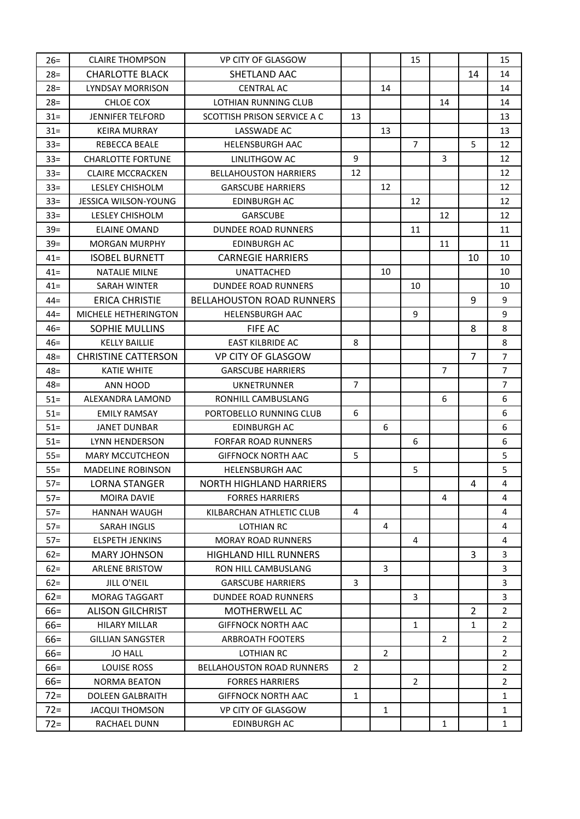| $26=$  | <b>CLAIRE THOMPSON</b>     | VP CITY OF GLASGOW               |                |                | 15             |                |                | 15             |
|--------|----------------------------|----------------------------------|----------------|----------------|----------------|----------------|----------------|----------------|
| $28 =$ | <b>CHARLOTTE BLACK</b>     | SHETLAND AAC                     |                |                |                |                | 14             | 14             |
| $28 =$ | LYNDSAY MORRISON           | <b>CENTRAL AC</b>                |                | 14             |                |                |                | 14             |
| $28 =$ | CHLOE COX                  | <b>LOTHIAN RUNNING CLUB</b>      |                |                |                | 14             |                | 14             |
| $31 =$ | <b>JENNIFER TELFORD</b>    | SCOTTISH PRISON SERVICE A C      | 13             |                |                |                |                | 13             |
| $31 =$ | <b>KEIRA MURRAY</b>        | LASSWADE AC                      |                | 13             |                |                |                | 13             |
| $33 =$ | REBECCA BEALE              | <b>HELENSBURGH AAC</b>           |                |                | $\overline{7}$ |                | 5              | 12             |
| $33 =$ | <b>CHARLOTTE FORTUNE</b>   | LINLITHGOW AC                    | 9              |                |                | 3              |                | 12             |
| $33 =$ | <b>CLAIRE MCCRACKEN</b>    | <b>BELLAHOUSTON HARRIERS</b>     | 12             |                |                |                |                | 12             |
| $33 =$ | LESLEY CHISHOLM            | <b>GARSCUBE HARRIERS</b>         |                | 12             |                |                |                | 12             |
| $33 =$ | JESSICA WILSON-YOUNG       | <b>EDINBURGH AC</b>              |                |                | 12             |                |                | 12             |
| $33 =$ | LESLEY CHISHOLM            | <b>GARSCUBE</b>                  |                |                |                | 12             |                | 12             |
| $39 =$ | <b>ELAINE OMAND</b>        | <b>DUNDEE ROAD RUNNERS</b>       |                |                | 11             |                |                | 11             |
| $39 =$ | <b>MORGAN MURPHY</b>       | <b>EDINBURGH AC</b>              |                |                |                | 11             |                | 11             |
| $41 =$ | <b>ISOBEL BURNETT</b>      | <b>CARNEGIE HARRIERS</b>         |                |                |                |                | 10             | 10             |
| $41 =$ | <b>NATALIE MILNE</b>       | <b>UNATTACHED</b>                |                | 10             |                |                |                | 10             |
| $41 =$ | <b>SARAH WINTER</b>        | <b>DUNDEE ROAD RUNNERS</b>       |                |                | 10             |                |                | 10             |
| $44 =$ | <b>ERICA CHRISTIE</b>      | <b>BELLAHOUSTON ROAD RUNNERS</b> |                |                |                |                | 9              | 9              |
| $44 =$ | MICHELE HETHERINGTON       | <b>HELENSBURGH AAC</b>           |                |                | 9              |                |                | 9              |
| $46=$  | <b>SOPHIE MULLINS</b>      | FIFE AC                          |                |                |                |                | 8              | 8              |
| $46=$  | <b>KELLY BAILLIE</b>       | <b>EAST KILBRIDE AC</b>          | 8              |                |                |                |                | 8              |
| 48=    | <b>CHRISTINE CATTERSON</b> | <b>VP CITY OF GLASGOW</b>        |                |                |                |                | $\overline{7}$ | $\overline{7}$ |
| $48 =$ | <b>KATIE WHITE</b>         | <b>GARSCUBE HARRIERS</b>         |                |                |                | $\overline{7}$ |                | $\overline{7}$ |
| $48 =$ | ANN HOOD                   | <b>UKNETRUNNER</b>               | $\overline{7}$ |                |                |                |                | $\overline{7}$ |
| $51 =$ | ALEXANDRA LAMOND           | RONHILL CAMBUSLANG               |                |                |                | 6              |                | 6              |
| $51 =$ | <b>EMILY RAMSAY</b>        | PORTOBELLO RUNNING CLUB          | 6              |                |                |                |                | 6              |
| $51 =$ | <b>JANET DUNBAR</b>        | <b>EDINBURGH AC</b>              |                | 6              |                |                |                | 6              |
| $51 =$ | LYNN HENDERSON             | <b>FORFAR ROAD RUNNERS</b>       |                |                | 6              |                |                | 6              |
| $55=$  | <b>MARY MCCUTCHEON</b>     | <b>GIFFNOCK NORTH AAC</b>        | 5              |                |                |                |                | 5              |
| $55=$  | <b>MADELINE ROBINSON</b>   | <b>HELENSBURGH AAC</b>           |                |                | 5              |                |                | 5              |
| $57 =$ | <b>LORNA STANGER</b>       | <b>NORTH HIGHLAND HARRIERS</b>   |                |                |                |                | 4              | $\overline{4}$ |
| $57 =$ | <b>MOIRA DAVIE</b>         | <b>FORRES HARRIERS</b>           |                |                |                | 4              |                | 4              |
| $57 =$ | <b>HANNAH WAUGH</b>        | KILBARCHAN ATHLETIC CLUB         | 4              |                |                |                |                | 4              |
| $57 =$ | SARAH INGLIS               | <b>LOTHIAN RC</b>                |                | 4              |                |                |                | 4              |
| $57 =$ | <b>ELSPETH JENKINS</b>     | <b>MORAY ROAD RUNNERS</b>        |                |                | 4              |                |                | 4              |
| $62 =$ | <b>MARY JOHNSON</b>        | <b>HIGHLAND HILL RUNNERS</b>     |                |                |                |                | 3              | 3              |
| $62 =$ | <b>ARLENE BRISTOW</b>      | RON HILL CAMBUSLANG              |                | 3              |                |                |                | 3              |
| $62 =$ | JILL O'NEIL                | <b>GARSCUBE HARRIERS</b>         | 3              |                |                |                |                | 3              |
| $62 =$ | <b>MORAG TAGGART</b>       | <b>DUNDEE ROAD RUNNERS</b>       |                |                | 3              |                |                | 3              |
| $66 =$ | <b>ALISON GILCHRIST</b>    | <b>MOTHERWELL AC</b>             |                |                |                |                | $\overline{2}$ | $\overline{2}$ |
| $66 =$ | <b>HILARY MILLAR</b>       | <b>GIFFNOCK NORTH AAC</b>        |                |                | 1              |                | $\mathbf{1}$   | $\overline{2}$ |
| $66 =$ | <b>GILLIAN SANGSTER</b>    | <b>ARBROATH FOOTERS</b>          |                |                |                | $\overline{2}$ |                | $\overline{2}$ |
| $66 =$ | <b>JO HALL</b>             | <b>LOTHIAN RC</b>                |                | $\overline{2}$ |                |                |                | $\overline{2}$ |
| $66 =$ | <b>LOUISE ROSS</b>         | <b>BELLAHOUSTON ROAD RUNNERS</b> | $\overline{2}$ |                |                |                |                | $\overline{2}$ |
| $66 =$ | <b>NORMA BEATON</b>        | <b>FORRES HARRIERS</b>           |                |                | 2              |                |                | 2              |
| $72 =$ | <b>DOLEEN GALBRAITH</b>    | <b>GIFFNOCK NORTH AAC</b>        | $\mathbf{1}$   |                |                |                |                | 1              |
| $72 =$ | <b>JACQUI THOMSON</b>      | VP CITY OF GLASGOW               |                | $\mathbf{1}$   |                |                |                | 1              |
| $72 =$ | RACHAEL DUNN               | <b>EDINBURGH AC</b>              |                |                |                | $\mathbf{1}$   |                | $\mathbf{1}$   |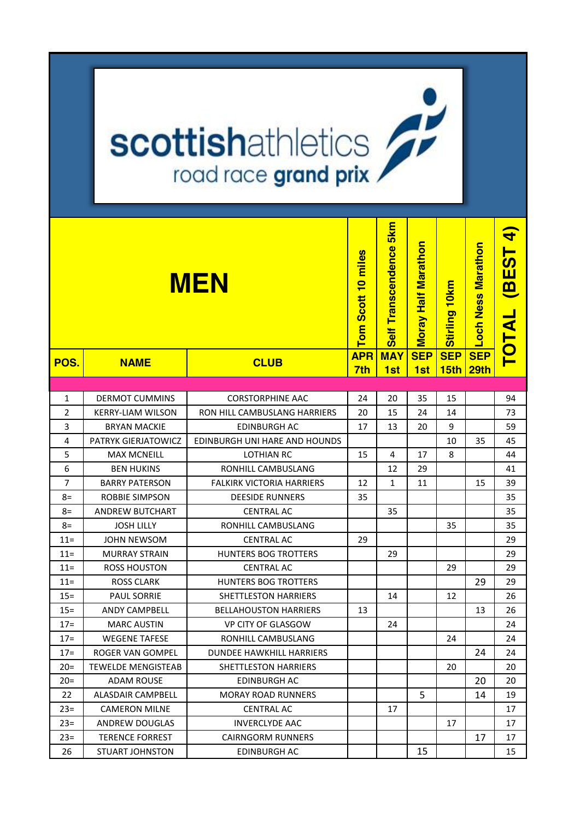## **scottishathletics**

|                |                           | <b>MEN</b>                       | miles<br>Scott 10<br>Tom<br><b>APR</b> | 5kn<br>Transcendence<br><b>Self</b> | Moray Half Marathon<br><b>SEP</b> | Stirling 10km<br><b>SEP</b> | <b>Marathon</b><br>och Ness<br><b>SEP</b> | <u>नि</u><br><b>BEST</b><br><b>TOTAL</b> |
|----------------|---------------------------|----------------------------------|----------------------------------------|-------------------------------------|-----------------------------------|-----------------------------|-------------------------------------------|------------------------------------------|
| POS.           | <b>NAME</b>               | <b>CLUB</b>                      | 7th                                    | <b>MAY</b><br>1st                   | 1st                               | 15 <sub>th</sub>            | 29th                                      |                                          |
|                |                           |                                  |                                        |                                     |                                   |                             |                                           |                                          |
| $\mathbf{1}$   | <b>DERMOT CUMMINS</b>     | <b>CORSTORPHINE AAC</b>          | 24                                     | 20                                  | 35                                | 15                          |                                           | 94                                       |
| 2              | KERRY-LIAM WILSON         | RON HILL CAMBUSLANG HARRIERS     | 20                                     | 15                                  | 24                                | 14                          |                                           | 73                                       |
| 3              | <b>BRYAN MACKIE</b>       | EDINBURGH AC                     | 17                                     | 13                                  | 20                                | 9                           |                                           | 59                                       |
| 4              | PATRYK GIERJATOWICZ       | EDINBURGH UNI HARE AND HOUNDS    |                                        |                                     |                                   | 10                          | 35                                        | 45                                       |
| 5              | <b>MAX MCNEILL</b>        | LOTHIAN RC                       | 15                                     | 4                                   | 17                                | 8                           |                                           | 44                                       |
| 6              | <b>BEN HUKINS</b>         | RONHILL CAMBUSLANG               |                                        | 12                                  | 29                                |                             |                                           | 41                                       |
| $\overline{7}$ | <b>BARRY PATERSON</b>     | <b>FALKIRK VICTORIA HARRIERS</b> | 12                                     | 1                                   | 11                                |                             | 15                                        | 39                                       |
| $8=$           | <b>ROBBIE SIMPSON</b>     | <b>DEESIDE RUNNERS</b>           | 35                                     |                                     |                                   |                             |                                           | 35                                       |
| 8=             | <b>ANDREW BUTCHART</b>    | <b>CENTRAL AC</b>                |                                        | 35                                  |                                   |                             |                                           | 35                                       |
| 8=             | JOSH LILLY                | RONHILL CAMBUSLANG               |                                        |                                     |                                   | 35                          |                                           | 35                                       |
| $11 =$         | <b>JOHN NEWSOM</b>        | <b>CENTRAL AC</b>                | 29                                     |                                     |                                   |                             |                                           | 29                                       |
| $11 =$         | <b>MURRAY STRAIN</b>      | <b>HUNTERS BOG TROTTERS</b>      |                                        | 29                                  |                                   |                             |                                           | 29                                       |
| $11 =$         | <b>ROSS HOUSTON</b>       | <b>CENTRAL AC</b>                |                                        |                                     |                                   | 29                          |                                           | 29                                       |
| $11 =$         | <b>ROSS CLARK</b>         | <b>HUNTERS BOG TROTTERS</b>      |                                        |                                     |                                   |                             | 29                                        | 29                                       |
| $15 =$         | <b>PAUL SORRIE</b>        | <b>SHETTLESTON HARRIERS</b>      |                                        | 14                                  |                                   | 12                          |                                           | 26                                       |
| $15 =$         | <b>ANDY CAMPBELL</b>      | <b>BELLAHOUSTON HARRIERS</b>     | 13                                     |                                     |                                   |                             | 13                                        | 26                                       |
| $17=$          | <b>MARC AUSTIN</b>        | <b>VP CITY OF GLASGOW</b>        |                                        | 24                                  |                                   |                             |                                           | 24                                       |
| $17=$          | <b>WEGENE TAFESE</b>      | RONHILL CAMBUSLANG               |                                        |                                     |                                   | 24                          |                                           | 24                                       |
| $17 =$         | ROGER VAN GOMPEL          | <b>DUNDEE HAWKHILL HARRIERS</b>  |                                        |                                     |                                   |                             | 24                                        | 24                                       |
| $20=$          | <b>TEWELDE MENGISTEAB</b> | SHETTLESTON HARRIERS             |                                        |                                     |                                   | 20                          |                                           | 20                                       |
| $20=$          | <b>ADAM ROUSE</b>         | <b>EDINBURGH AC</b>              |                                        |                                     |                                   |                             | 20                                        | 20                                       |
| 22             | <b>ALASDAIR CAMPBELL</b>  | <b>MORAY ROAD RUNNERS</b>        |                                        |                                     | 5                                 |                             | 14                                        | 19                                       |
| $23 =$         | <b>CAMERON MILNE</b>      | <b>CENTRAL AC</b>                |                                        | 17                                  |                                   |                             |                                           | 17                                       |
| $23 =$         | <b>ANDREW DOUGLAS</b>     | <b>INVERCLYDE AAC</b>            |                                        |                                     |                                   | 17                          |                                           | 17                                       |
| $23 =$         | <b>TERENCE FORREST</b>    | <b>CAIRNGORM RUNNERS</b>         |                                        |                                     |                                   |                             | 17                                        | 17                                       |
| 26             | <b>STUART JOHNSTON</b>    | <b>EDINBURGH AC</b>              |                                        |                                     | 15                                |                             |                                           | 15                                       |